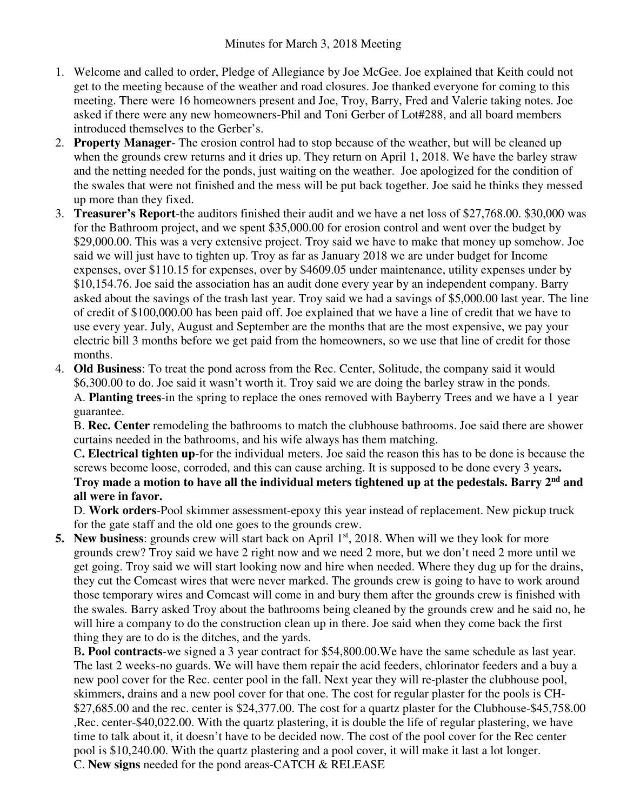- 1. Welcome and called to order, Pledge of Allegiance by Joe McGee. Joe explained that Keith could not get to the meeting because of the weather and road closures. Joe thanked everyone for coming to this meeting. There were 16 homeowners present and Joe, Troy, Barry, Fred and Valerie taking notes. Joe asked if there were any new homeowners-Phil and Toni Gerber of Lot#288, and all board members introduced themselves to the Gerber's.
- 2. **Property Manager** The erosion control had to stop because of the weather, but will be cleaned up when the grounds crew returns and it dries up. They return on April 1, 2018. We have the barley straw and the netting needed for the ponds, just waiting on the weather. Joe apologized for the condition of the swales that were not finished and the mess will be put back together. Joe said he thinks they messed up more than they fixed.
- 3. **Treasurer's Report**-the auditors finished their audit and we have a net loss of \$27,768.00. \$30,000 was for the Bathroom project, and we spent \$35,000.00 for erosion control and went over the budget by \$29,000.00. This was a very extensive project. Troy said we have to make that money up somehow. Joe said we will just have to tighten up. Troy as far as January 2018 we are under budget for Income expenses, over \$110.15 for expenses, over by \$4609.05 under maintenance, utility expenses under by \$10,154.76. Joe said the association has an audit done every year by an independent company. Barry asked about the savings of the trash last year. Troy said we had a savings of \$5,000.00 last year. The line of credit of \$100,000.00 has been paid off. Joe explained that we have a line of credit that we have to use every year. July, August and September are the months that are the most expensive, we pay your electric bill 3 months before we get paid from the homeowners, so we use that line of credit for those months.
- 4. **Old Business**: To treat the pond across from the Rec. Center, Solitude, the company said it would \$6,300.00 to do. Joe said it wasn't worth it. Troy said we are doing the barley straw in the ponds. A. **Planting trees**-in the spring to replace the ones removed with Bayberry Trees and we have a 1 year guarantee.

B. **Rec. Center** remodeling the bathrooms to match the clubhouse bathrooms. Joe said there are shower curtains needed in the bathrooms, and his wife always has them matching.

C**. Electrical tighten up**-for the individual meters. Joe said the reason this has to be done is because the screws become loose, corroded, and this can cause arching. It is supposed to be done every 3 years**. Troy made a motion to have all the individual meters tightened up at the pedestals. Barry 2nd and all were in favor.** 

D. **Work orders**-Pool skimmer assessment-epoxy this year instead of replacement. New pickup truck for the gate staff and the old one goes to the grounds crew.

**5. New business:** grounds crew will start back on April 1<sup>st</sup>, 2018. When will we they look for more grounds crew? Troy said we have 2 right now and we need 2 more, but we don't need 2 more until we get going. Troy said we will start looking now and hire when needed. Where they dug up for the drains, they cut the Comcast wires that were never marked. The grounds crew is going to have to work around those temporary wires and Comcast will come in and bury them after the grounds crew is finished with the swales. Barry asked Troy about the bathrooms being cleaned by the grounds crew and he said no, he will hire a company to do the construction clean up in there. Joe said when they come back the first thing they are to do is the ditches, and the yards.

B**. Pool contracts**-we signed a 3 year contract for \$54,800.00.We have the same schedule as last year. The last 2 weeks-no guards. We will have them repair the acid feeders, chlorinator feeders and a buy a new pool cover for the Rec. center pool in the fall. Next year they will re-plaster the clubhouse pool, skimmers, drains and a new pool cover for that one. The cost for regular plaster for the pools is CH- \$27,685.00 and the rec. center is \$24,377.00. The cost for a quartz plaster for the Clubhouse-\$45,758.00 ,Rec. center-\$40,022.00. With the quartz plastering, it is double the life of regular plastering, we have time to talk about it, it doesn't have to be decided now. The cost of the pool cover for the Rec center pool is \$10,240.00. With the quartz plastering and a pool cover, it will make it last a lot longer. C. **New signs** needed for the pond areas-CATCH & RELEASE